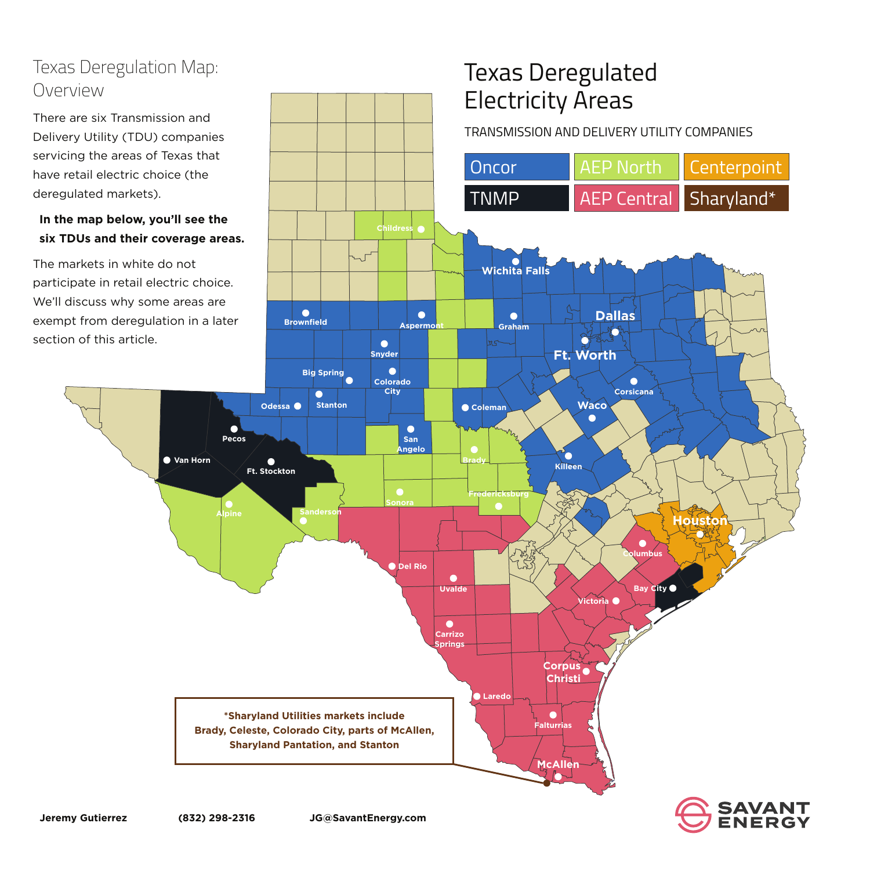# Texas Deregulated



**Corpus**

**Christi**

**McAllen**

 $\overline{\phantom{a}}$ 

 $\sim$ 

**Falturrias**

The markets in white do not participate in retail electric choice. We'll discuss why some areas are exempt from deregulation in a later section of this article.

**Laredo**



**\*Sharyland Utilities markets include Brady, Celeste, Colorado City, parts of McAllen, Sharyland Pantation, and Stanton**

## Texas Deregulation Map: Overview

There are six Transmission and Delivery Utility (TDU) companies servicing the areas of Texas that

have retail electric choice (the

deregulated markets).

 $\sim$ 

### **In the map below, you'll see the six TDUs and their coverage areas.**

**Jeremy Gutierrez (832) 298-2316 JG@SavantEnergy.com**